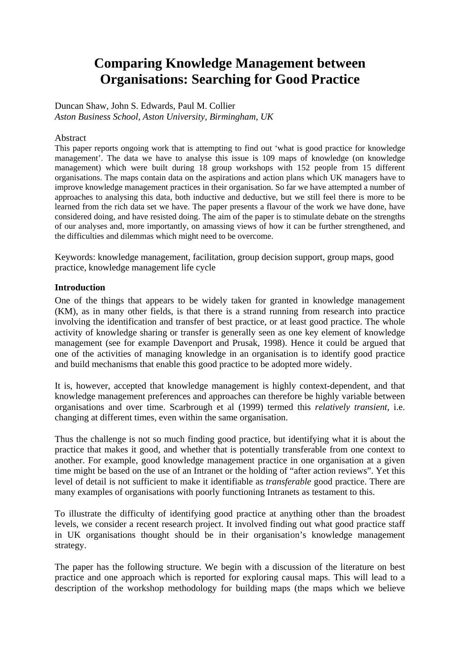# **Comparing Knowledge Management between Organisations: Searching for Good Practice**

Duncan Shaw, John S. Edwards, Paul M. Collier *Aston Business School, Aston University, Birmingham, UK* 

#### Abstract

This paper reports ongoing work that is attempting to find out 'what is good practice for knowledge management'. The data we have to analyse this issue is 109 maps of knowledge (on knowledge management) which were built during 18 group workshops with 152 people from 15 different organisations. The maps contain data on the aspirations and action plans which UK managers have to improve knowledge management practices in their organisation. So far we have attempted a number of approaches to analysing this data, both inductive and deductive, but we still feel there is more to be learned from the rich data set we have. The paper presents a flavour of the work we have done, have considered doing, and have resisted doing. The aim of the paper is to stimulate debate on the strengths of our analyses and, more importantly, on amassing views of how it can be further strengthened, and the difficulties and dilemmas which might need to be overcome.

Keywords: knowledge management, facilitation, group decision support, group maps, good practice, knowledge management life cycle

#### **Introduction**

One of the things that appears to be widely taken for granted in knowledge management (KM), as in many other fields, is that there is a strand running from research into practice involving the identification and transfer of best practice, or at least good practice. The whole activity of knowledge sharing or transfer is generally seen as one key element of knowledge management (see for example Davenport and Prusak, 1998). Hence it could be argued that one of the activities of managing knowledge in an organisation is to identify good practice and build mechanisms that enable this good practice to be adopted more widely.

It is, however, accepted that knowledge management is highly context-dependent, and that knowledge management preferences and approaches can therefore be highly variable between organisations and over time. Scarbrough et al (1999) termed this *relatively transient*, i.e. changing at different times, even within the same organisation.

Thus the challenge is not so much finding good practice, but identifying what it is about the practice that makes it good, and whether that is potentially transferable from one context to another. For example, good knowledge management practice in one organisation at a given time might be based on the use of an Intranet or the holding of "after action reviews". Yet this level of detail is not sufficient to make it identifiable as *transferable* good practice. There are many examples of organisations with poorly functioning Intranets as testament to this.

To illustrate the difficulty of identifying good practice at anything other than the broadest levels, we consider a recent research project. It involved finding out what good practice staff in UK organisations thought should be in their organisation's knowledge management strategy.

The paper has the following structure. We begin with a discussion of the literature on best practice and one approach which is reported for exploring causal maps. This will lead to a description of the workshop methodology for building maps (the maps which we believe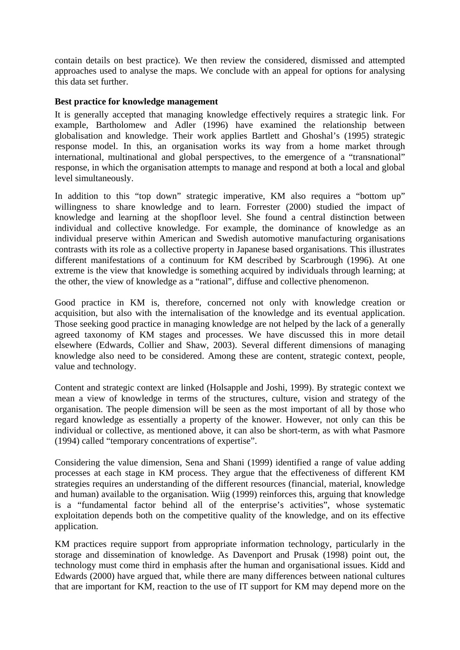contain details on best practice). We then review the considered, dismissed and attempted approaches used to analyse the maps. We conclude with an appeal for options for analysing this data set further.

## **Best practice for knowledge management**

It is generally accepted that managing knowledge effectively requires a strategic link. For example, Bartholomew and Adler (1996) have examined the relationship between globalisation and knowledge. Their work applies Bartlett and Ghoshal's (1995) strategic response model. In this, an organisation works its way from a home market through international, multinational and global perspectives, to the emergence of a "transnational" response, in which the organisation attempts to manage and respond at both a local and global level simultaneously.

In addition to this "top down" strategic imperative, KM also requires a "bottom up" willingness to share knowledge and to learn. Forrester (2000) studied the impact of knowledge and learning at the shopfloor level. She found a central distinction between individual and collective knowledge. For example, the dominance of knowledge as an individual preserve within American and Swedish automotive manufacturing organisations contrasts with its role as a collective property in Japanese based organisations. This illustrates different manifestations of a continuum for KM described by Scarbrough (1996). At one extreme is the view that knowledge is something acquired by individuals through learning; at the other, the view of knowledge as a "rational", diffuse and collective phenomenon.

Good practice in KM is, therefore, concerned not only with knowledge creation or acquisition, but also with the internalisation of the knowledge and its eventual application. Those seeking good practice in managing knowledge are not helped by the lack of a generally agreed taxonomy of KM stages and processes. We have discussed this in more detail elsewhere (Edwards, Collier and Shaw, 2003). Several different dimensions of managing knowledge also need to be considered. Among these are content, strategic context, people, value and technology.

Content and strategic context are linked (Holsapple and Joshi, 1999). By strategic context we mean a view of knowledge in terms of the structures, culture, vision and strategy of the organisation. The people dimension will be seen as the most important of all by those who regard knowledge as essentially a property of the knower. However, not only can this be individual or collective, as mentioned above, it can also be short-term, as with what Pasmore (1994) called "temporary concentrations of expertise".

Considering the value dimension, Sena and Shani (1999) identified a range of value adding processes at each stage in KM process. They argue that the effectiveness of different KM strategies requires an understanding of the different resources (financial, material, knowledge and human) available to the organisation. Wiig (1999) reinforces this, arguing that knowledge is a "fundamental factor behind all of the enterprise's activities", whose systematic exploitation depends both on the competitive quality of the knowledge, and on its effective application.

KM practices require support from appropriate information technology, particularly in the storage and dissemination of knowledge. As Davenport and Prusak (1998) point out, the technology must come third in emphasis after the human and organisational issues. Kidd and Edwards (2000) have argued that, while there are many differences between national cultures that are important for KM, reaction to the use of IT support for KM may depend more on the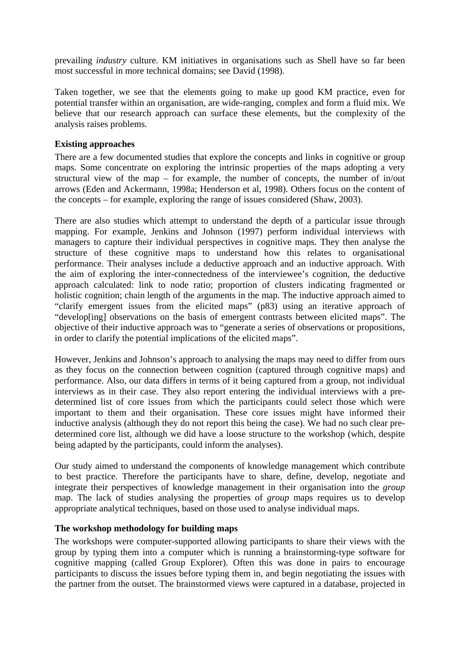prevailing *industry* culture. KM initiatives in organisations such as Shell have so far been most successful in more technical domains; see David (1998).

Taken together, we see that the elements going to make up good KM practice, even for potential transfer within an organisation, are wide-ranging, complex and form a fluid mix. We believe that our research approach can surface these elements, but the complexity of the analysis raises problems.

## **Existing approaches**

There are a few documented studies that explore the concepts and links in cognitive or group maps. Some concentrate on exploring the intrinsic properties of the maps adopting a very structural view of the map – for example, the number of concepts, the number of in/out arrows (Eden and Ackermann, 1998a; Henderson et al, 1998). Others focus on the content of the concepts – for example, exploring the range of issues considered (Shaw, 2003).

There are also studies which attempt to understand the depth of a particular issue through mapping. For example, Jenkins and Johnson (1997) perform individual interviews with managers to capture their individual perspectives in cognitive maps. They then analyse the structure of these cognitive maps to understand how this relates to organisational performance. Their analyses include a deductive approach and an inductive approach. With the aim of exploring the inter-connectedness of the interviewee's cognition, the deductive approach calculated: link to node ratio; proportion of clusters indicating fragmented or holistic cognition; chain length of the arguments in the map. The inductive approach aimed to "clarify emergent issues from the elicited maps" (p83) using an iterative approach of "develop[ing] observations on the basis of emergent contrasts between elicited maps". The objective of their inductive approach was to "generate a series of observations or propositions, in order to clarify the potential implications of the elicited maps".

However, Jenkins and Johnson's approach to analysing the maps may need to differ from ours as they focus on the connection between cognition (captured through cognitive maps) and performance. Also, our data differs in terms of it being captured from a group, not individual interviews as in their case. They also report entering the individual interviews with a predetermined list of core issues from which the participants could select those which were important to them and their organisation. These core issues might have informed their inductive analysis (although they do not report this being the case). We had no such clear predetermined core list, although we did have a loose structure to the workshop (which, despite being adapted by the participants, could inform the analyses).

Our study aimed to understand the components of knowledge management which contribute to best practice. Therefore the participants have to share, define, develop, negotiate and integrate their perspectives of knowledge management in their organisation into the *group* map. The lack of studies analysing the properties of *group* maps requires us to develop appropriate analytical techniques, based on those used to analyse individual maps.

### **The workshop methodology for building maps**

The workshops were computer-supported allowing participants to share their views with the group by typing them into a computer which is running a brainstorming-type software for cognitive mapping (called Group Explorer). Often this was done in pairs to encourage participants to discuss the issues before typing them in, and begin negotiating the issues with the partner from the outset. The brainstormed views were captured in a database, projected in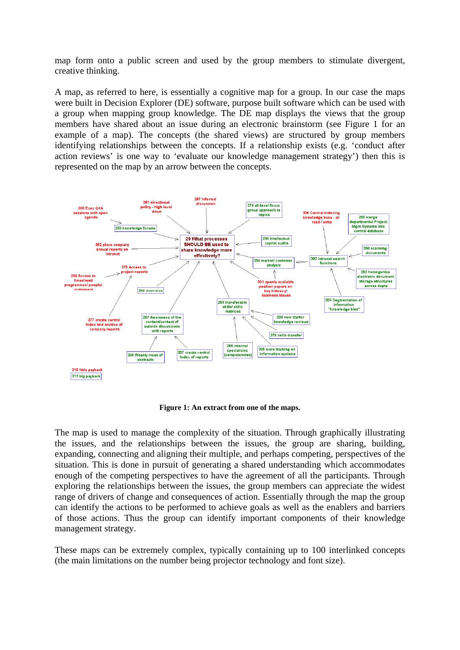map form onto a public screen and used by the group members to stimulate divergent, creative thinking.

A map, as referred to here, is essentially a cognitive map for a group. In our case the maps were built in Decision Explorer (DE) software, purpose built software which can be used with a group when mapping group knowledge. The DE map displays the views that the group members have shared about an issue during an electronic brainstorm (see Figure 1 for an example of a map). The concepts (the shared views) are structured by group members identifying relationships between the concepts. If a relationship exists (e.g. 'conduct after action reviews' is one way to 'evaluate our knowledge management strategy') then this is represented on the map by an arrow between the concepts.



**Figure 1: An extract from one of the maps.** 

The map is used to manage the complexity of the situation. Through graphically illustrating the issues, and the relationships between the issues, the group are sharing, building, expanding, connecting and aligning their multiple, and perhaps competing, perspectives of the situation. This is done in pursuit of generating a shared understanding which accommodates enough of the competing perspectives to have the agreement of all the participants. Through exploring the relationships between the issues, the group members can appreciate the widest range of drivers of change and consequences of action. Essentially through the map the group can identify the actions to be performed to achieve goals as well as the enablers and barriers of those actions. Thus the group can identify important components of their knowledge management strategy.

These maps can be extremely complex, typically containing up to 100 interlinked concepts (the main limitations on the number being projector technology and font size).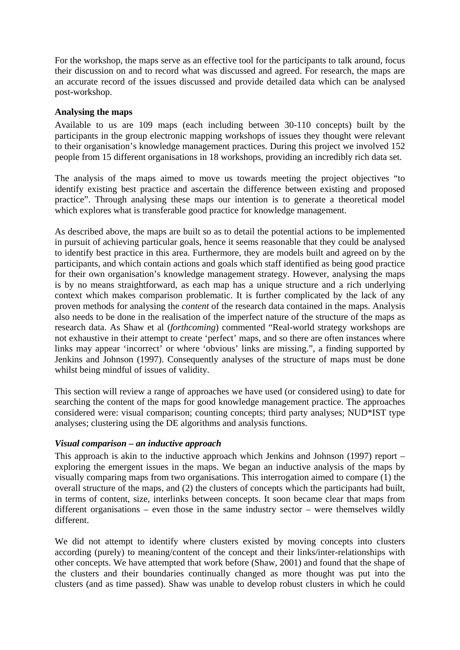For the workshop, the maps serve as an effective tool for the participants to talk around, focus their discussion on and to record what was discussed and agreed. For research, the maps are an accurate record of the issues discussed and provide detailed data which can be analysed post-workshop.

## **Analysing the maps**

Available to us are 109 maps (each including between 30-110 concepts) built by the participants in the group electronic mapping workshops of issues they thought were relevant to their organisation's knowledge management practices. During this project we involved 152 people from 15 different organisations in 18 workshops, providing an incredibly rich data set.

The analysis of the maps aimed to move us towards meeting the project objectives "to identify existing best practice and ascertain the difference between existing and proposed practice". Through analysing these maps our intention is to generate a theoretical model which explores what is transferable good practice for knowledge management.

As described above, the maps are built so as to detail the potential actions to be implemented in pursuit of achieving particular goals, hence it seems reasonable that they could be analysed to identify best practice in this area. Furthermore, they are models built and agreed on by the participants, and which contain actions and goals which staff identified as being good practice for their own organisation's knowledge management strategy. However, analysing the maps is by no means straightforward, as each map has a unique structure and a rich underlying context which makes comparison problematic. It is further complicated by the lack of any proven methods for analysing the *content* of the research data contained in the maps. Analysis also needs to be done in the realisation of the imperfect nature of the structure of the maps as research data. As Shaw et al (*forthcoming*) commented "Real-world strategy workshops are not exhaustive in their attempt to create 'perfect' maps, and so there are often instances where links may appear 'incorrect' or where 'obvious' links are missing.", a finding supported by Jenkins and Johnson (1997). Consequently analyses of the structure of maps must be done whilst being mindful of issues of validity.

This section will review a range of approaches we have used (or considered using) to date for searching the content of the maps for good knowledge management practice. The approaches considered were: visual comparison; counting concepts; third party analyses; NUD\*IST type analyses; clustering using the DE algorithms and analysis functions.

## *Visual comparison – an inductive approach*

This approach is akin to the inductive approach which Jenkins and Johnson (1997) report – exploring the emergent issues in the maps. We began an inductive analysis of the maps by visually comparing maps from two organisations. This interrogation aimed to compare (1) the overall structure of the maps, and (2) the clusters of concepts which the participants had built, in terms of content, size, interlinks between concepts. It soon became clear that maps from different organisations – even those in the same industry sector – were themselves wildly different.

We did not attempt to identify where clusters existed by moving concepts into clusters according (purely) to meaning/content of the concept and their links/inter-relationships with other concepts. We have attempted that work before (Shaw, 2001) and found that the shape of the clusters and their boundaries continually changed as more thought was put into the clusters (and as time passed). Shaw was unable to develop robust clusters in which he could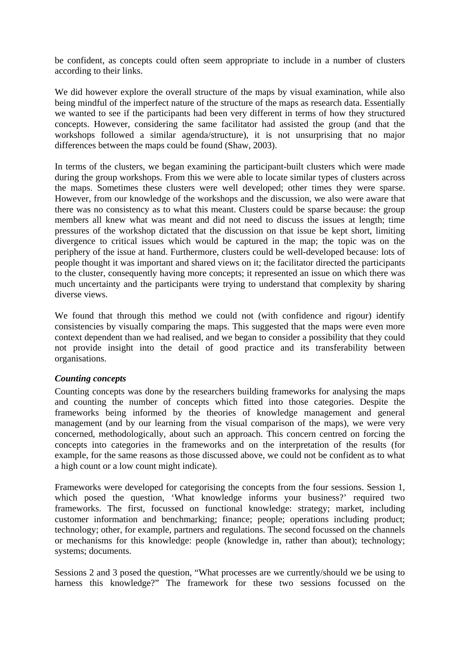be confident, as concepts could often seem appropriate to include in a number of clusters according to their links.

We did however explore the overall structure of the maps by visual examination, while also being mindful of the imperfect nature of the structure of the maps as research data. Essentially we wanted to see if the participants had been very different in terms of how they structured concepts. However, considering the same facilitator had assisted the group (and that the workshops followed a similar agenda/structure), it is not unsurprising that no major differences between the maps could be found (Shaw, 2003).

In terms of the clusters, we began examining the participant-built clusters which were made during the group workshops. From this we were able to locate similar types of clusters across the maps. Sometimes these clusters were well developed; other times they were sparse. However, from our knowledge of the workshops and the discussion, we also were aware that there was no consistency as to what this meant. Clusters could be sparse because: the group members all knew what was meant and did not need to discuss the issues at length; time pressures of the workshop dictated that the discussion on that issue be kept short, limiting divergence to critical issues which would be captured in the map; the topic was on the periphery of the issue at hand. Furthermore, clusters could be well-developed because: lots of people thought it was important and shared views on it; the facilitator directed the participants to the cluster, consequently having more concepts; it represented an issue on which there was much uncertainty and the participants were trying to understand that complexity by sharing diverse views.

We found that through this method we could not (with confidence and rigour) identify consistencies by visually comparing the maps. This suggested that the maps were even more context dependent than we had realised, and we began to consider a possibility that they could not provide insight into the detail of good practice and its transferability between organisations.

## *Counting concepts*

Counting concepts was done by the researchers building frameworks for analysing the maps and counting the number of concepts which fitted into those categories. Despite the frameworks being informed by the theories of knowledge management and general management (and by our learning from the visual comparison of the maps), we were very concerned, methodologically, about such an approach. This concern centred on forcing the concepts into categories in the frameworks and on the interpretation of the results (for example, for the same reasons as those discussed above, we could not be confident as to what a high count or a low count might indicate).

Frameworks were developed for categorising the concepts from the four sessions. Session 1, which posed the question, 'What knowledge informs your business?' required two frameworks. The first, focussed on functional knowledge: strategy; market, including customer information and benchmarking; finance; people; operations including product; technology; other, for example, partners and regulations. The second focussed on the channels or mechanisms for this knowledge: people (knowledge in, rather than about); technology; systems; documents.

Sessions 2 and 3 posed the question, "What processes are we currently/should we be using to harness this knowledge?" The framework for these two sessions focussed on the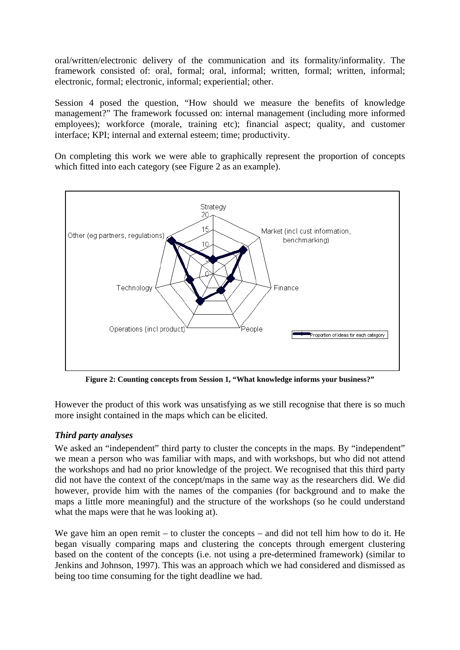oral/written/electronic delivery of the communication and its formality/informality. The framework consisted of: oral, formal; oral, informal; written, formal; written, informal; electronic, formal; electronic, informal; experiential; other.

Session 4 posed the question, "How should we measure the benefits of knowledge management?" The framework focussed on: internal management (including more informed employees); workforce (morale, training etc); financial aspect; quality, and customer interface; KPI; internal and external esteem; time; productivity.

On completing this work we were able to graphically represent the proportion of concepts which fitted into each category (see Figure 2 as an example).



**Figure 2: Counting concepts from Session 1, "What knowledge informs your business?"** 

However the product of this work was unsatisfying as we still recognise that there is so much more insight contained in the maps which can be elicited.

# *Third party analyses*

We asked an "independent" third party to cluster the concepts in the maps. By "independent" we mean a person who was familiar with maps, and with workshops, but who did not attend the workshops and had no prior knowledge of the project. We recognised that this third party did not have the context of the concept/maps in the same way as the researchers did. We did however, provide him with the names of the companies (for background and to make the maps a little more meaningful) and the structure of the workshops (so he could understand what the maps were that he was looking at).

We gave him an open remit – to cluster the concepts – and did not tell him how to do it. He began visually comparing maps and clustering the concepts through emergent clustering based on the content of the concepts (i.e. not using a pre-determined framework) (similar to Jenkins and Johnson, 1997). This was an approach which we had considered and dismissed as being too time consuming for the tight deadline we had.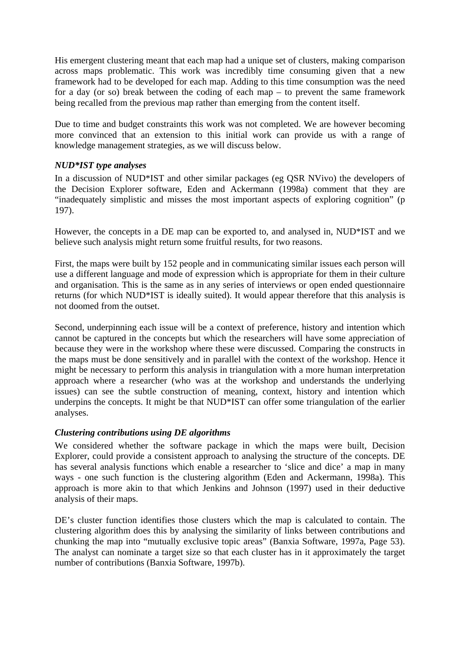His emergent clustering meant that each map had a unique set of clusters, making comparison across maps problematic. This work was incredibly time consuming given that a new framework had to be developed for each map. Adding to this time consumption was the need for a day (or so) break between the coding of each map – to prevent the same framework being recalled from the previous map rather than emerging from the content itself.

Due to time and budget constraints this work was not completed. We are however becoming more convinced that an extension to this initial work can provide us with a range of knowledge management strategies, as we will discuss below.

## *NUD\*IST type analyses*

In a discussion of NUD\*IST and other similar packages (eg QSR NVivo) the developers of the Decision Explorer software, Eden and Ackermann (1998a) comment that they are "inadequately simplistic and misses the most important aspects of exploring cognition" (p 197).

However, the concepts in a DE map can be exported to, and analysed in, NUD\*IST and we believe such analysis might return some fruitful results, for two reasons.

First, the maps were built by 152 people and in communicating similar issues each person will use a different language and mode of expression which is appropriate for them in their culture and organisation. This is the same as in any series of interviews or open ended questionnaire returns (for which NUD\*IST is ideally suited). It would appear therefore that this analysis is not doomed from the outset.

Second, underpinning each issue will be a context of preference, history and intention which cannot be captured in the concepts but which the researchers will have some appreciation of because they were in the workshop where these were discussed. Comparing the constructs in the maps must be done sensitively and in parallel with the context of the workshop. Hence it might be necessary to perform this analysis in triangulation with a more human interpretation approach where a researcher (who was at the workshop and understands the underlying issues) can see the subtle construction of meaning, context, history and intention which underpins the concepts. It might be that NUD\*IST can offer some triangulation of the earlier analyses.

### *Clustering contributions using DE algorithms*

We considered whether the software package in which the maps were built, Decision Explorer, could provide a consistent approach to analysing the structure of the concepts. DE has several analysis functions which enable a researcher to 'slice and dice' a map in many ways - one such function is the clustering algorithm (Eden and Ackermann, 1998a). This approach is more akin to that which Jenkins and Johnson (1997) used in their deductive analysis of their maps.

DE's cluster function identifies those clusters which the map is calculated to contain. The clustering algorithm does this by analysing the similarity of links between contributions and chunking the map into "mutually exclusive topic areas" (Banxia Software, 1997a, Page 53). The analyst can nominate a target size so that each cluster has in it approximately the target number of contributions (Banxia Software, 1997b).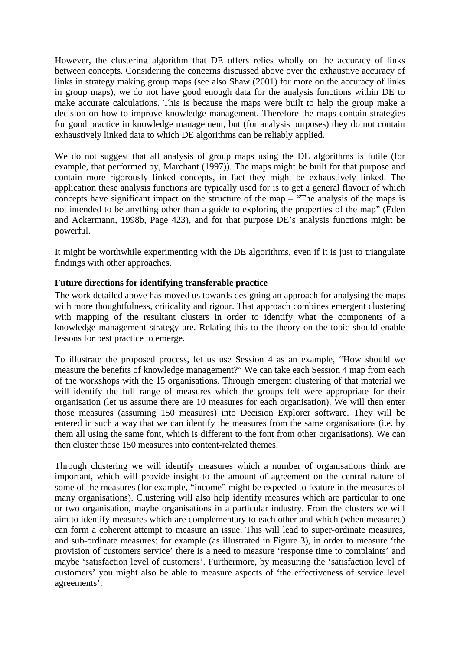However, the clustering algorithm that DE offers relies wholly on the accuracy of links between concepts. Considering the concerns discussed above over the exhaustive accuracy of links in strategy making group maps (see also Shaw (2001) for more on the accuracy of links in group maps), we do not have good enough data for the analysis functions within DE to make accurate calculations. This is because the maps were built to help the group make a decision on how to improve knowledge management. Therefore the maps contain strategies for good practice in knowledge management, but (for analysis purposes) they do not contain exhaustively linked data to which DE algorithms can be reliably applied.

We do not suggest that all analysis of group maps using the DE algorithms is futile (for example, that performed by, Marchant (1997)). The maps might be built for that purpose and contain more rigorously linked concepts, in fact they might be exhaustively linked. The application these analysis functions are typically used for is to get a general flavour of which concepts have significant impact on the structure of the map – "The analysis of the maps is not intended to be anything other than a guide to exploring the properties of the map" (Eden and Ackermann, 1998b, Page 423), and for that purpose DE's analysis functions might be powerful.

It might be worthwhile experimenting with the DE algorithms, even if it is just to triangulate findings with other approaches.

## **Future directions for identifying transferable practice**

The work detailed above has moved us towards designing an approach for analysing the maps with more thoughtfulness, criticality and rigour. That approach combines emergent clustering with mapping of the resultant clusters in order to identify what the components of a knowledge management strategy are. Relating this to the theory on the topic should enable lessons for best practice to emerge.

To illustrate the proposed process, let us use Session 4 as an example, "How should we measure the benefits of knowledge management?" We can take each Session 4 map from each of the workshops with the 15 organisations. Through emergent clustering of that material we will identify the full range of measures which the groups felt were appropriate for their organisation (let us assume there are 10 measures for each organisation). We will then enter those measures (assuming 150 measures) into Decision Explorer software. They will be entered in such a way that we can identify the measures from the same organisations (i.e. by them all using the same font, which is different to the font from other organisations). We can then cluster those 150 measures into content-related themes.

Through clustering we will identify measures which a number of organisations think are important, which will provide insight to the amount of agreement on the central nature of some of the measures (for example, "income" might be expected to feature in the measures of many organisations). Clustering will also help identify measures which are particular to one or two organisation, maybe organisations in a particular industry. From the clusters we will aim to identify measures which are complementary to each other and which (when measured) can form a coherent attempt to measure an issue. This will lead to super-ordinate measures, and sub-ordinate measures: for example (as illustrated in Figure 3), in order to measure 'the provision of customers service' there is a need to measure 'response time to complaints' and maybe 'satisfaction level of customers'. Furthermore, by measuring the 'satisfaction level of customers' you might also be able to measure aspects of 'the effectiveness of service level agreements'.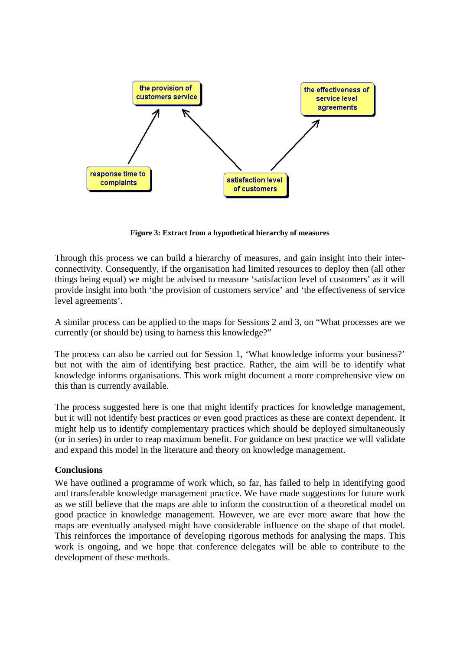

**Figure 3: Extract from a hypothetical hierarchy of measures** 

Through this process we can build a hierarchy of measures, and gain insight into their interconnectivity. Consequently, if the organisation had limited resources to deploy then (all other things being equal) we might be advised to measure 'satisfaction level of customers' as it will provide insight into both 'the provision of customers service' and 'the effectiveness of service level agreements'.

A similar process can be applied to the maps for Sessions 2 and 3, on "What processes are we currently (or should be) using to harness this knowledge?"

The process can also be carried out for Session 1, 'What knowledge informs your business?' but not with the aim of identifying best practice. Rather, the aim will be to identify what knowledge informs organisations. This work might document a more comprehensive view on this than is currently available.

The process suggested here is one that might identify practices for knowledge management, but it will not identify best practices or even good practices as these are context dependent. It might help us to identify complementary practices which should be deployed simultaneously (or in series) in order to reap maximum benefit. For guidance on best practice we will validate and expand this model in the literature and theory on knowledge management.

### **Conclusions**

We have outlined a programme of work which, so far, has failed to help in identifying good and transferable knowledge management practice. We have made suggestions for future work as we still believe that the maps are able to inform the construction of a theoretical model on good practice in knowledge management. However, we are ever more aware that how the maps are eventually analysed might have considerable influence on the shape of that model. This reinforces the importance of developing rigorous methods for analysing the maps. This work is ongoing, and we hope that conference delegates will be able to contribute to the development of these methods.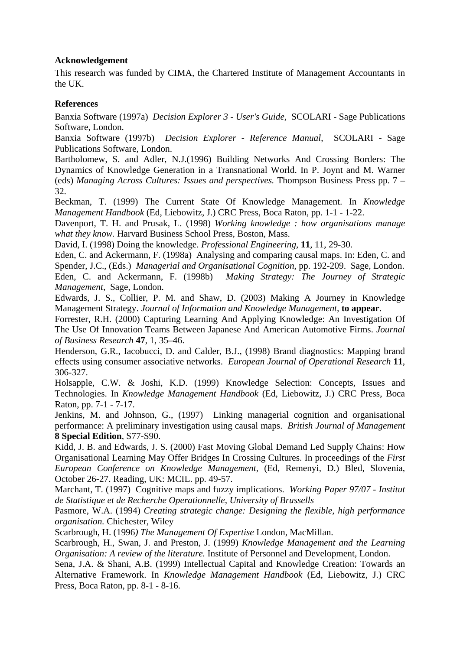## **Acknowledgement**

This research was funded by CIMA, the Chartered Institute of Management Accountants in the UK.

## **References**

Banxia Software (1997a) *Decision Explorer 3 - User's Guide*, SCOLARI - Sage Publications Software, London.

Banxia Software (1997b) *Decision Explorer - Reference Manual*, SCOLARI - Sage Publications Software, London.

Bartholomew, S. and Adler, N.J.(1996) Building Networks And Crossing Borders: The Dynamics of Knowledge Generation in a Transnational World. In P. Joynt and M. Warner (eds) *Managing Across Cultures: Issues and perspectives.* Thompson Business Press pp. 7 – 32.

Beckman, T. (1999) The Current State Of Knowledge Management. In *Knowledge Management Handbook* (Ed, Liebowitz, J.) CRC Press, Boca Raton, pp. 1-1 - 1-22.

Davenport, T. H. and Prusak, L. (1998) *Working knowledge : how organisations manage what they know.* Harvard Business School Press, Boston, Mass.

David, I. (1998) Doing the knowledge. *Professional Engineering*, **11**, 11, 29-30.

Eden, C. and Ackermann, F. (1998a) Analysing and comparing causal maps. In: Eden, C. and Spender, J.C., (Eds.) *Managerial and Organisational Cognition*, pp. 192-209. Sage, London. Eden, C. and Ackermann, F. (1998b) *Making Strategy: The Journey of Strategic Management*, Sage, London.

Edwards, J. S., Collier, P. M. and Shaw, D. (2003) Making A Journey in Knowledge Management Strategy. *Journal of Information and Knowledge Management,* **to appear**.

Forrester, R.H. (2000) Capturing Learning And Applying Knowledge: An Investigation Of The Use Of Innovation Teams Between Japanese And American Automotive Firms. *Journal of Business Research* **47**, 1, 35–46.

Henderson, G.R., Iacobucci, D. and Calder, B.J., (1998) Brand diagnostics: Mapping brand effects using consumer associative networks. *European Journal of Operational Research* **11**, 306-327.

Holsapple, C.W. & Joshi, K.D. (1999) Knowledge Selection: Concepts, Issues and Technologies. In *Knowledge Management Handbook* (Ed, Liebowitz, J.) CRC Press, Boca Raton, pp. 7-1 - 7-17.

Jenkins, M. and Johnson, G., (1997) Linking managerial cognition and organisational performance: A preliminary investigation using causal maps. *British Journal of Management* **8 Special Edition**, S77-S90.

Kidd, J. B. and Edwards, J. S. (2000) Fast Moving Global Demand Led Supply Chains: How Organisational Learning May Offer Bridges In Crossing Cultures. In proceedings of the *First European Conference on Knowledge Management*, (Ed, Remenyi, D.) Bled, Slovenia, October 26-27. Reading, UK: MCIL. pp. 49-57.

Marchant, T. (1997) Cognitive maps and fuzzy implications. *Working Paper 97/07 - Institut de Statistique et de Recherche Operationnelle, University of Brussells*

Pasmore, W.A. (1994) *Creating strategic change: Designing the flexible, high performance organisation.* Chichester, Wiley

Scarbrough, H. (1996*) The Management Of Expertise* London, MacMillan.

Scarbrough, H., Swan, J. and Preston, J. (1999) *Knowledge Management and the Learning Organisation: A review of the literature.* Institute of Personnel and Development, London.

Sena, J.A. & Shani, A.B. (1999) Intellectual Capital and Knowledge Creation: Towards an Alternative Framework. In *Knowledge Management Handbook* (Ed, Liebowitz, J.) CRC Press, Boca Raton, pp. 8-1 - 8-16.